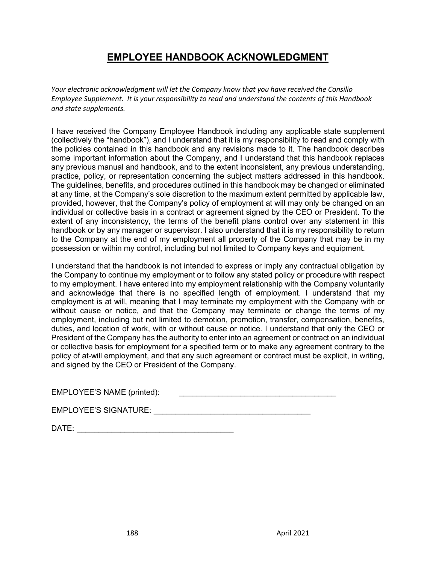## **EMPLOYEE HANDBOOK ACKNOWLEDGMENT**

*Your electronic acknowledgment will let the Company know that you have received the Consilio Employee Supplement. It is your responsibility to read and understand the contents of this Handbook and state supplements.*

I have received the Company Employee Handbook including any applicable state supplement (collectively the "handbook"), and I understand that it is my responsibility to read and comply with the policies contained in this handbook and any revisions made to it. The handbook describes some important information about the Company, and I understand that this handbook replaces any previous manual and handbook, and to the extent inconsistent, any previous understanding, practice, policy, or representation concerning the subject matters addressed in this handbook. The guidelines, benefits, and procedures outlined in this handbook may be changed or eliminated at any time, at the Company's sole discretion to the maximum extent permitted by applicable law, provided, however, that the Company's policy of employment at will may only be changed on an individual or collective basis in a contract or agreement signed by the CEO or President. To the extent of any inconsistency, the terms of the benefit plans control over any statement in this handbook or by any manager or supervisor. I also understand that it is my responsibility to return to the Company at the end of my employment all property of the Company that may be in my possession or within my control, including but not limited to Company keys and equipment.

I understand that the handbook is not intended to express or imply any contractual obligation by the Company to continue my employment or to follow any stated policy or procedure with respect to my employment. I have entered into my employment relationship with the Company voluntarily and acknowledge that there is no specified length of employment. I understand that my employment is at will, meaning that I may terminate my employment with the Company with or without cause or notice, and that the Company may terminate or change the terms of my employment, including but not limited to demotion, promotion, transfer, compensation, benefits, duties, and location of work, with or without cause or notice. I understand that only the CEO or President of the Company has the authority to enter into an agreement or contract on an individual or collective basis for employment for a specified term or to make any agreement contrary to the policy of at-will employment, and that any such agreement or contract must be explicit, in writing, and signed by the CEO or President of the Company.

| EMPLOYEE'S NAME (printed): |  |
|----------------------------|--|
|                            |  |

 $\mathsf{DATE}:\mathsf{C}\longrightarrow\mathsf{C}\longrightarrow\mathsf{C}\longrightarrow\mathsf{C}\longrightarrow\mathsf{C}\longrightarrow\mathsf{C}\longrightarrow\mathsf{C}\longrightarrow\mathsf{C}\longrightarrow\mathsf{C}\longrightarrow\mathsf{C}\longrightarrow\mathsf{C}\longrightarrow\mathsf{C}\longrightarrow\mathsf{C}\longrightarrow\mathsf{C}\longrightarrow\mathsf{C}\longrightarrow\mathsf{C}\longrightarrow\mathsf{C}\longrightarrow\mathsf{C}\longrightarrow\mathsf{C}\longrightarrow\mathsf{C}\longrightarrow\mathsf{C}\longrightarrow\mathsf{C}\longrightarrow\mathsf{C}\longrightarrow\mathsf{C}\longrightarrow\mathsf{C}\longrightarrow\mathsf{C}\longrightarrow\mathsf{C}\longrightarrow\mathsf{C}\longrightarrow\mathsf{C}\longrightarrow\mathsf{C}\longrightarrow\mathsf$